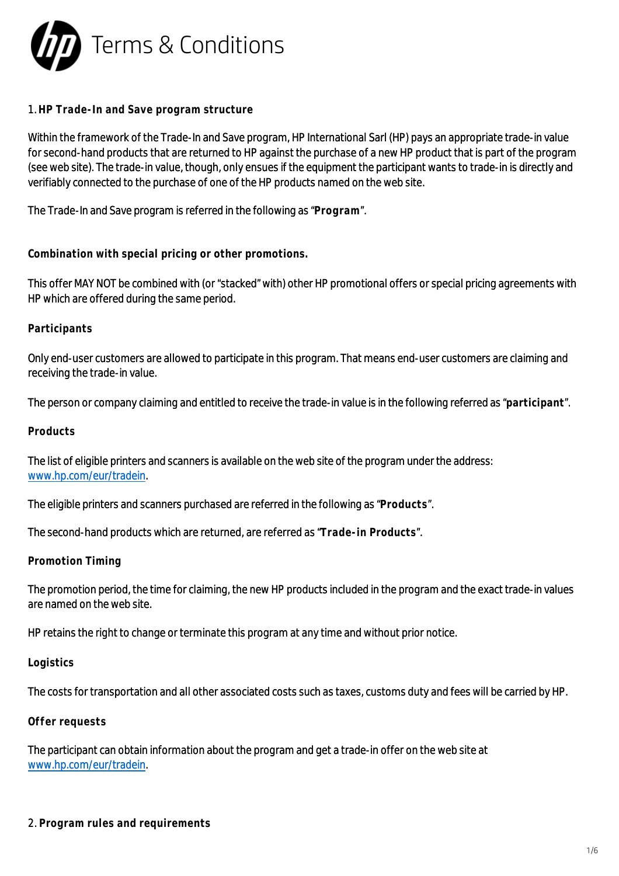

#### 1. **HP Trade-In and Save program structure**

Within the framework of the Trade-In and Save program, HP International Sarl (HP) pays an appropriate trade-in value for second-hand products that are returned to HP against the purchase of a new HP product that is part of the program (see web site). The trade-in value, though, only ensues if the equipment the participant wants to trade-in is directly and verifiably connected to the purchase of one of the HP products named on the web site.

The Trade-In and Save program is referred in the following as "**Program**".

**Combination with special pricing or other promotions.**

This offer MAY NOT be combined with (or "stacked" with) other HP promotional offers or special pricing agreements with HP which are offered during the same period.

**Participants**

Only end-user customers are allowed to participate in this program. That means end-user customers are claiming and receiving the trade-in value.

The person or company claiming and entitled to receive the trade-in value is in the following referred as "**participant**".

**Products**

The list of eligible printers and scanners is available on the web site of the program under the address: [www.hp.com/eur/tradein.](http://www.hp.com/eur/tradein)

The eligible printers and scanners purchased are referred in the following as "**Products**".

The second-hand products which are returned, are referred as "**Trade-in Products**".

**Promotion Timing**

The promotion period, the time for claiming, the new HP products included in the program and the exact trade-in values are named on the web site.

HP retains the right to change or terminate this program at any time and without prior notice.

**Logistics**

The costs for transportation and all other associated costs such as taxes, customs duty and fees will be carried by HP.

**Offer requests**

The participant can obtain information about the program and get a trade-in offer on the web site at [www.hp.com/eur/tradein.](http://www.hp.com/eur/tradein)

2. **Program rules and requirements**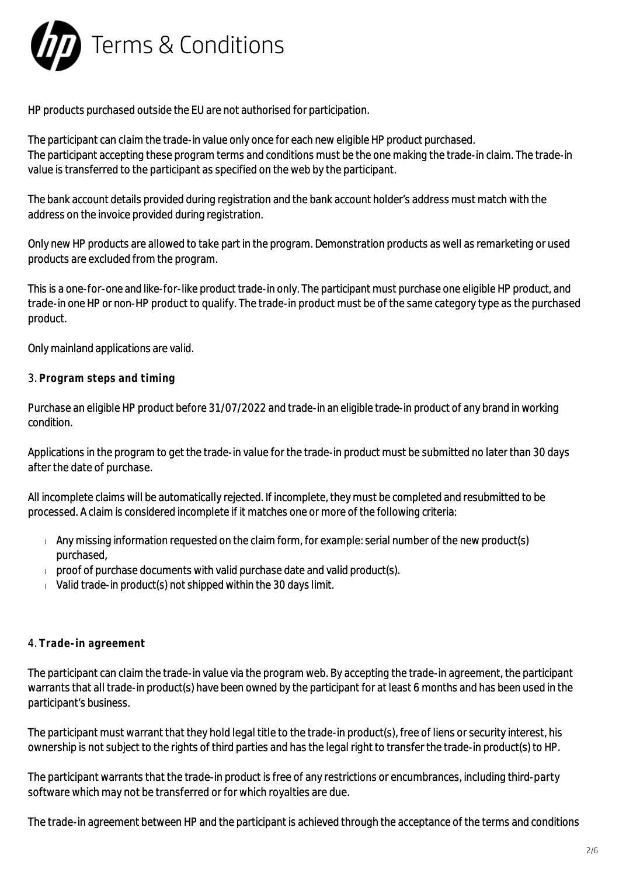

HP products purchased outside the EU are not authorised for participation.

The participant can claim the trade-in value only once for each new eligible HP product purchased. The participant accepting these program terms and conditions must be the one making the trade-in claim. The trade-in value is transferred to the participant as specified on the web by the participant.

The bank account details provided during registration and the bank account holder's address must match with the address on the invoice provided during registration.

Only new HP products are allowed to take part in the program. Demonstration products as well as remarketing or used products are excluded from the program.

This is a one-for-one and like-for-like product trade-in only. The participant must purchase one eligible HP product, and trade-in one HP or non-HP product to qualify. The trade-in product must be of the same category type as the purchased product.

Only mainland applications are valid.

### 3. **Program steps and timing**

Purchase an eligible HP product before 31/07/2022 and trade-in an eligible trade-in product of any brand in working condition.

Applications in the program to get the trade-in value for the trade-in product must be submitted no later than 30 days after the date of purchase.

All incomplete claims will be automatically rejected. If incomplete, they must be completed and resubmitted to be processed. A claim is considered incomplete if it matches one or more of the following criteria:

- $\Box$  Any missing information requested on the claim form, for example: serial number of the new product(s) purchased,
- $\Box$  proof of purchase documents with valid purchase date and valid product(s).
- $\sqrt{v}$  Valid trade-in product(s) not shipped within the 30 days limit.

## 4. **Trade-in agreement**

The participant can claim the trade-in value via the program web. By accepting the trade-in agreement, the participant warrants that all trade-in product(s) have been owned by the participant for at least 6 months and has been used in the participant's business.

The participant must warrant that they hold legal title to the trade-in product(s), free of liens or security interest, his ownership is not subject to the rights of third parties and has the legal right to transfer the trade-in product(s) to HP.

The participant warrants that the trade-in product is free of any restrictions or encumbrances, including third-party software which may not be transferred or for which royalties are due.

The trade-in agreement between HP and the participant is achieved through the acceptance of the terms and conditions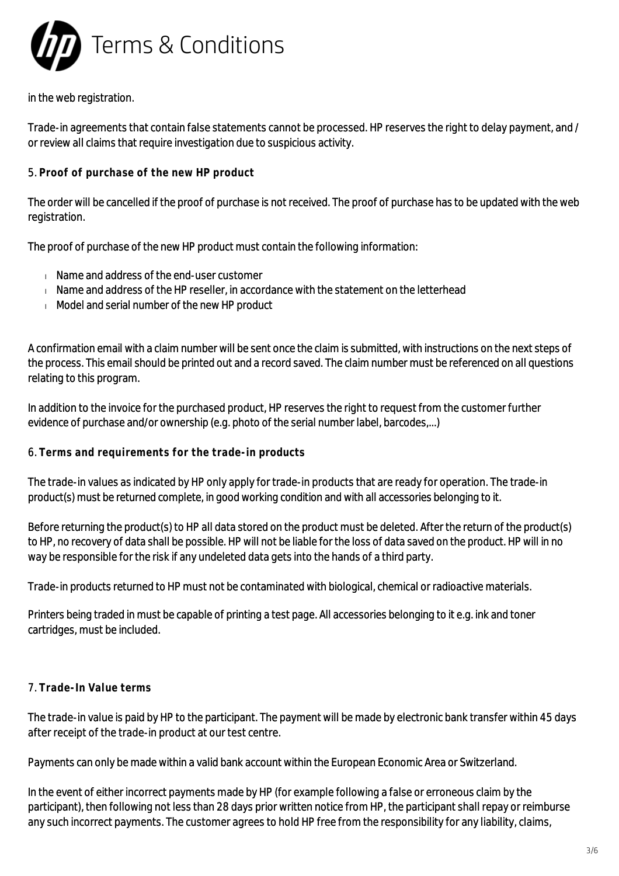

in the web registration.

Trade-in agreements that contain false statements cannot be processed. HP reserves the right to delay payment, and / or review all claims that require investigation due to suspicious activity.

## 5. **Proof of purchase of the new HP product**

The order will be cancelled if the proof of purchase is not received. The proof of purchase has to be updated with the web registration.

The proof of purchase of the new HP product must contain the following information:

- Name and address of the end-user customer
- $\blacksquare$  Name and address of the HP reseller, in accordance with the statement on the letterhead
- Model and serial number of the new HP product

A confirmation email with a claim number will be sent once the claim is submitted, with instructions on the next steps of the process. This email should be printed out and a record saved. The claim number must be referenced on all questions relating to this program.

In addition to the invoice for the purchased product, HP reserves the right to request from the customer further evidence of purchase and/or ownership (e.g. photo of the serial number label, barcodes,...)

#### 6. **Terms and requirements for the trade-in products**

The trade-in values as indicated by HP only apply for trade-in products that are ready for operation. The trade-in product(s) must be returned complete, in good working condition and with all accessories belonging to it.

Before returning the product(s) to HP all data stored on the product must be deleted. After the return of the product(s) to HP, no recovery of data shall be possible. HP will not be liable for the loss of data saved on the product. HP will in no way be responsible for the risk if any undeleted data gets into the hands of a third party.

Trade-in products returned to HP must not be contaminated with biological, chemical or radioactive materials.

Printers being traded in must be capable of printing a test page. All accessories belonging to it e.g. ink and toner cartridges, must be included.

# 7. **Trade-In Value terms**

The trade-in value is paid by HP to the participant. The payment will be made by electronic bank transfer within 45 days after receipt of the trade-in product at our test centre.

Payments can only be made within a valid bank account within the European Economic Area or Switzerland.

In the event of either incorrect payments made by HP (for example following a false or erroneous claim by the participant), then following not less than 28 days prior written notice from HP, the participant shall repay or reimburse any such incorrect payments. The customer agrees to hold HP free from the responsibility for any liability, claims,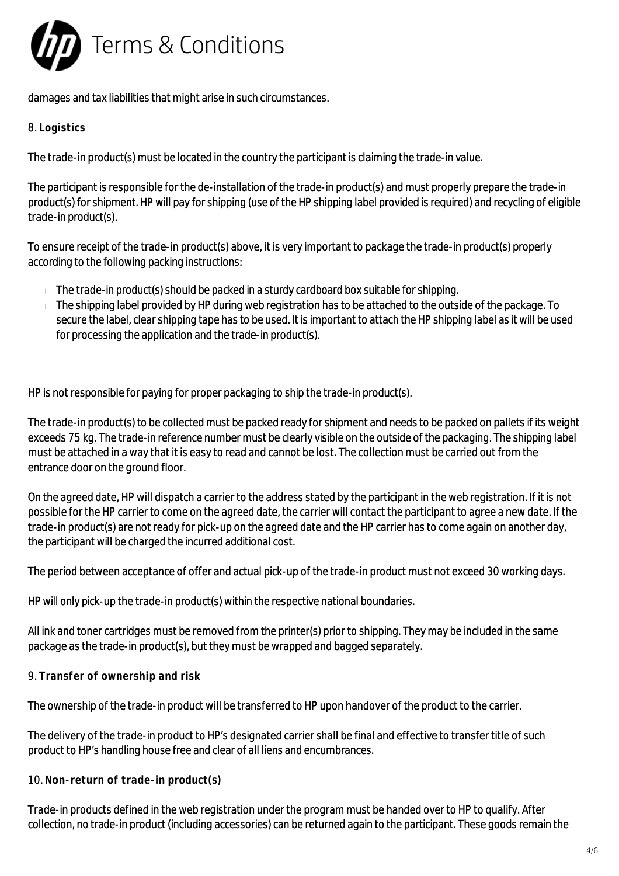

damages and tax liabilities that might arise in such circumstances.

## 8. **Logistics**

The trade-in product(s) must be located in the country the participant is claiming the trade-in value.

The participant is responsible for the de-installation of the trade-in product(s) and must properly prepare the trade-in product(s) for shipment. HP will pay for shipping (use of the HP shipping label provided is required) and recycling of eligible trade-in product(s).

To ensure receipt of the trade-in product(s) above, it is very important to package the trade-in product(s) properly according to the following packing instructions:

- $\Box$  The trade-in product(s) should be packed in a sturdy cardboard box suitable for shipping.
- $\Box$  The shipping label provided by HP during web registration has to be attached to the outside of the package. To secure the label, clear shipping tape has to be used. It is important to attach the HP shipping label as it will be used for processing the application and the trade-in product(s).

HP is not responsible for paying for proper packaging to ship the trade-in product(s).

The trade-in product(s) to be collected must be packed ready for shipment and needs to be packed on pallets if its weight exceeds 75 kg. The trade-in reference number must be clearly visible on the outside of the packaging. The shipping label must be attached in a way that it is easy to read and cannot be lost. The collection must be carried out from the entrance door on the ground floor.

On the agreed date, HP will dispatch a carrier to the address stated by the participant in the web registration. If it is not possible for the HP carrier to come on the agreed date, the carrier will contact the participant to agree a new date. If the trade-in product(s) are not ready for pick-up on the agreed date and the HP carrier has to come again on another day, the participant will be charged the incurred additional cost.

The period between acceptance of offer and actual pick-up of the trade-in product must not exceed 30 working days.

HP will only pick-up the trade-in product(s) within the respective national boundaries.

All ink and toner cartridges must be removed from the printer(s) prior to shipping. They may be included in the same package as the trade-in product(s), but they must be wrapped and bagged separately.

9. **Transfer of ownership and risk**

The ownership of the trade-in product will be transferred to HP upon handover of the product to the carrier.

The delivery of the trade-in product to HP's designated carrier shall be final and effective to transfer title of such product to HP's handling house free and clear of all liens and encumbrances.

10. **Non-return of trade-in product(s)**

Trade-in products defined in the web registration under the program must be handed over to HP to qualify. After collection, no trade-in product (including accessories) can be returned again to the participant. These goods remain the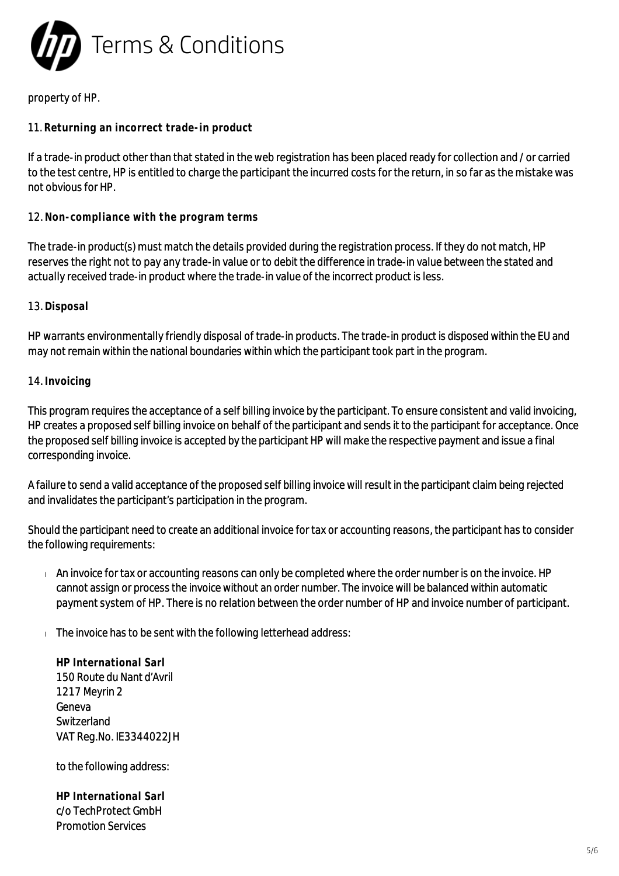

### property of HP.

### 11. **Returning an incorrect trade-in product**

If a trade-in product other than that stated in the web registration has been placed ready for collection and / or carried to the test centre, HP is entitled to charge the participant the incurred costs for the return, in so far as the mistake was not obvious for HP.

#### 12. **Non-compliance with the program terms**

The trade-in product(s) must match the details provided during the registration process. If they do not match, HP reserves the right not to pay any trade-in value or to debit the difference in trade-in value between the stated and actually received trade-in product where the trade-in value of the incorrect product is less.

#### 13. **Disposal**

HP warrants environmentally friendly disposal of trade-in products. The trade-in product is disposed within the EU and may not remain within the national boundaries within which the participant took part in the program.

#### 14. **Invoicing**

This program requires the acceptance of a self billing invoice by the participant. To ensure consistent and valid invoicing, HP creates a proposed self billing invoice on behalf of the participant and sends it to the participant for acceptance. Once the proposed self billing invoice is accepted by the participant HP will make the respective payment and issue a final corresponding invoice.

A failure to send a valid acceptance of the proposed self billing invoice will result in the participant claim being rejected and invalidates the participant's participation in the program.

Should the participant need to create an additional invoice for tax or accounting reasons, the participant has to consider the following requirements:

- An invoice for tax or accounting reasons can only be completed where the order number is on the invoice. HP cannot assign or process the invoice without an order number. The invoice will be balanced within automatic payment system of HP. There is no relation between the order number of HP and invoice number of participant.
- $\Box$  The invoice has to be sent with the following letterhead address:

**HP International Sarl** 150 Route du Nant d'Avril 1217 Meyrin 2 Geneva Switzerland VAT Reg.No. IE3344022JH

to the following address:

**HP International Sarl** c/o TechProtect GmbH Promotion Services